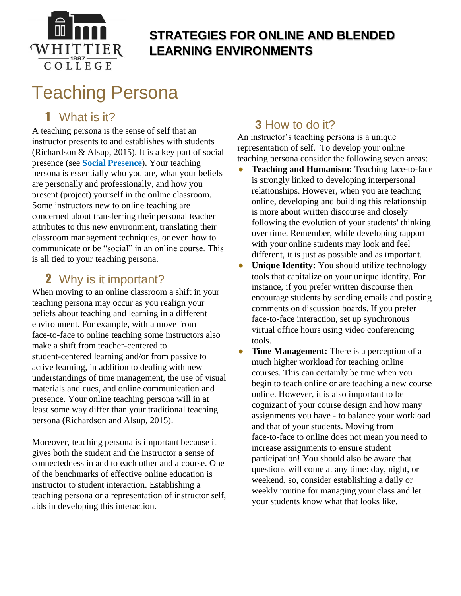

# **STRATEGIES FOR ONLINE AND BLENDED LEARNING ENVIRONMENTS**

# Teaching Persona

## 1 What is it?

A teaching persona is the sense of self that an instructor presents to and establishes with students (Richardson & Alsup, 2015). It is a key part of social presence (see **[Social Presence](http://facultydevelopment.whittier.domains/wp-content/uploads/2020/06/3.-WC-Social-Presence-1.pdf)**). Your teaching persona is essentially who you are, what your beliefs are personally and professionally, and how you present (project) yourself in the online classroom. Some instructors new to online teaching are concerned about transferring their personal teacher attributes to this new environment, translating their classroom management techniques, or even how to communicate or be "social" in an online course. This is all tied to your teaching persona.

### 2 Why is it important?

When moving to an online classroom a shift in your teaching persona may occur as you realign your beliefs about teaching and learning in a different environment. For example, with a move from face-to-face to online teaching some instructors also make a shift from teacher-centered to student-centered learning and/or from passive to active learning, in addition to dealing with new understandings of time management, the use of visual materials and cues, and online communication and presence. Your online teaching persona will in at least some way differ than your traditional teaching persona (Richardson and Alsup, 2015).

Moreover, teaching persona is important because it gives both the student and the instructor a sense of connectedness in and to each other and a course. One of the benchmarks of effective online education is instructor to student interaction. Establishing a teaching persona or a representation of instructor self, aids in developing this interaction.

### **3** How to do it?

An instructor's teaching persona is a unique representation of self. To develop your online teaching persona consider the following seven areas:

- Teaching and Humanism: Teaching face-to-face is strongly linked to developing interpersonal relationships. However, when you are teaching online, developing and building this relationship is more about written discourse and closely following the evolution of your students' thinking over time. Remember, while developing rapport with your online students may look and feel different, it is just as possible and as important.
- **Unique Identity:** You should utilize technology tools that capitalize on your unique identity. For instance, if you prefer written discourse then encourage students by sending emails and posting comments on discussion boards. If you prefer face-to-face interaction, set up synchronous virtual office hours using video conferencing tools.
- **Time Management:** There is a perception of a much higher workload for teaching online courses. This can certainly be true when you begin to teach online or are teaching a new course online. However, it is also important to be cognizant of your course design and how many assignments you have - to balance your workload and that of your students. Moving from face-to-face to online does not mean you need to increase assignments to ensure student participation! You should also be aware that questions will come at any time: day, night, or weekend, so, consider establishing a daily or weekly routine for managing your class and let your students know what that looks like.